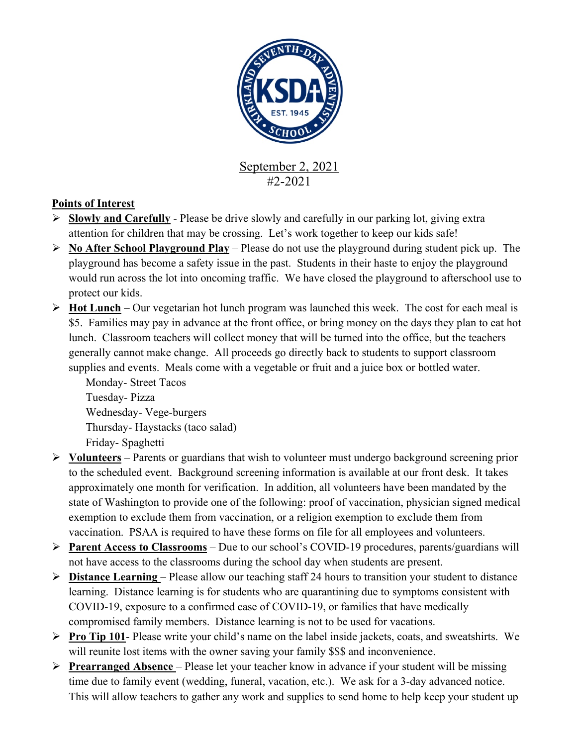

#2-2021

## **Points of Interest**

- $\triangleright$  **Slowly and Carefully** Please be drive slowly and carefully in our parking lot, giving extra attention for children that may be crossing. Let's work together to keep our kids safe!
- Ø **No After School Playground Play** Please do not use the playground during student pick up. The playground has become a safety issue in the past. Students in their haste to enjoy the playground would run across the lot into oncoming traffic. We have closed the playground to afterschool use to protect our kids.
- $\triangleright$  **Hot Lunch** Our vegetarian hot lunch program was launched this week. The cost for each meal is \$5. Families may pay in advance at the front office, or bring money on the days they plan to eat hot lunch. Classroom teachers will collect money that will be turned into the office, but the teachers generally cannot make change. All proceeds go directly back to students to support classroom supplies and events. Meals come with a vegetable or fruit and a juice box or bottled water.

Monday- Street Tacos Tuesday- Pizza Wednesday- Vege-burgers Thursday- Haystacks (taco salad) Friday- Spaghetti

- Ø **Volunteers** Parents or guardians that wish to volunteer must undergo background screening prior to the scheduled event. Background screening information is available at our front desk. It takes approximately one month for verification. In addition, all volunteers have been mandated by the state of Washington to provide one of the following: proof of vaccination, physician signed medical exemption to exclude them from vaccination, or a religion exemption to exclude them from vaccination. PSAA is required to have these forms on file for all employees and volunteers.
- Ø **Parent Access to Classrooms** Due to our school's COVID-19 procedures, parents/guardians will not have access to the classrooms during the school day when students are present.
- $\triangleright$  **Distance Learning** Please allow our teaching staff 24 hours to transition your student to distance learning. Distance learning is for students who are quarantining due to symptoms consistent with COVID-19, exposure to a confirmed case of COVID-19, or families that have medically compromised family members. Distance learning is not to be used for vacations.
- Ø **Pro Tip 101** Please write your child's name on the label inside jackets, coats, and sweatshirts. We will reunite lost items with the owner saving your family \$\$\$ and inconvenience.
- Ø **Prearranged Absence**  Please let your teacher know in advance if your student will be missing time due to family event (wedding, funeral, vacation, etc.). We ask for a 3-day advanced notice. This will allow teachers to gather any work and supplies to send home to help keep your student up